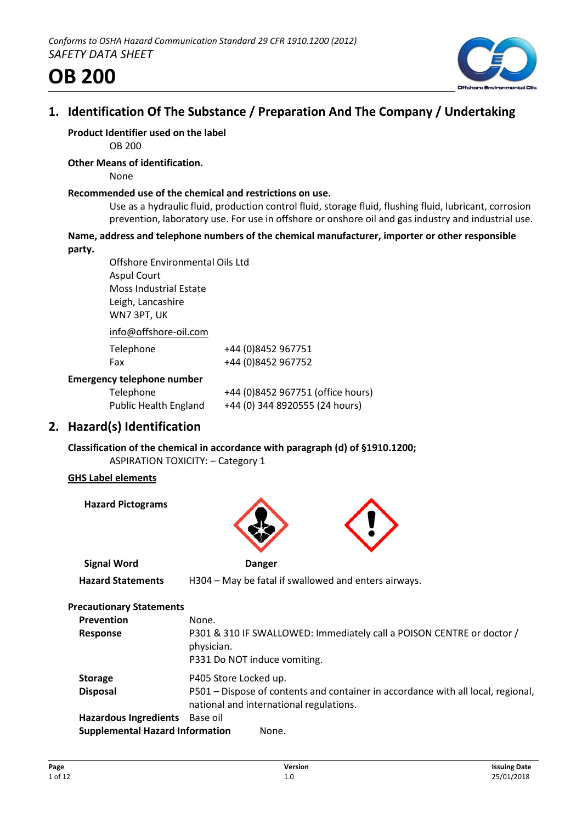

# **1. Identification Of The Substance / Preparation And The Company / Undertaking**

# **Product Identifier used on the label**

OB 200

## **Other Means of identification.**

None

#### **Recommended use of the chemical and restrictions on use.**

Use as a hydraulic fluid, production control fluid, storage fluid, flushing fluid, lubricant, corrosion prevention, laboratory use. For use in offshore or onshore oil and gas industry and industrial use.

#### **Name, address and telephone numbers of the chemical manufacturer, importer or other responsible party.**

Offshore Environmental Oils Ltd Aspul Court Moss Industrial Estate Leigh, Lancashire WN7 3PT, UK info@offshore-oil.com

| IIIU(                             |                                   |
|-----------------------------------|-----------------------------------|
| Telephone                         | +44 (0)8452 967751                |
| Fax                               | +44 (0)8452 967752                |
| <b>Emergency telephone number</b> |                                   |
| Telephone                         | +44 (0)8452 967751 (office hours) |
| <b>Public Health England</b>      | +44 (0) 344 8920555 (24 hours)    |

# **2. Hazard(s) Identification**

**Classification of the chemical in accordance with paragraph (d) of §1910.1200;** ASPIRATION TOXICITY: – Category 1

### **GHS Label elements**

**Hazard Pictograms**



| <b>Precautionary Statements</b>        |                                                                                                                             |
|----------------------------------------|-----------------------------------------------------------------------------------------------------------------------------|
| <b>Prevention</b>                      | None.                                                                                                                       |
| <b>Response</b>                        | P301 & 310 IF SWALLOWED: Immediately call a POISON CENTRE or doctor /<br>physician.<br>P331 Do NOT induce vomiting.         |
| <b>Storage</b>                         | P405 Store Locked up.                                                                                                       |
| <b>Disposal</b>                        | P501 – Dispose of contents and container in accordance with all local, regional,<br>national and international regulations. |
| <b>Hazardous Ingredients</b>           | Base oil                                                                                                                    |
| <b>Supplemental Hazard Information</b> | None.                                                                                                                       |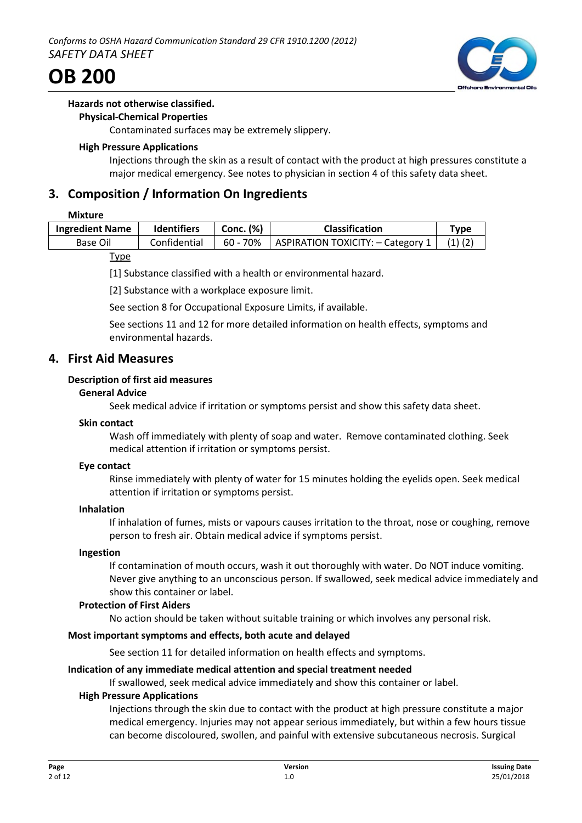

#### **Hazards not otherwise classified.**

#### **Physical-Chemical Properties**

Contaminated surfaces may be extremely slippery.

#### **High Pressure Applications**

Injections through the skin as a result of contact with the product at high pressures constitute a major medical emergency. See notes to physician in section 4 of this safety data sheet.

# **3. Composition / Information On Ingredients**

#### **Mixture**

| <b>Ingredient Name</b> | <b>Identifiers</b> | Conc. (%) | <b>Classification</b>               | Tvpe        |
|------------------------|--------------------|-----------|-------------------------------------|-------------|
| Base Oil               | Confidential       | 60 - 70%  | ASPIRATION TOXICITY: $-$ Category 1 | $(1)$ $(2)$ |

#### Type

[1] Substance classified with a health or environmental hazard.

[2] Substance with a workplace exposure limit.

See section 8 for Occupational Exposure Limits, if available.

See sections 11 and 12 for more detailed information on health effects, symptoms and environmental hazards.

### **4. First Aid Measures**

### **Description of first aid measures**

#### **General Advice**

Seek medical advice if irritation or symptoms persist and show this safety data sheet.

#### **Skin contact**

Wash off immediately with plenty of soap and water. Remove contaminated clothing. Seek medical attention if irritation or symptoms persist.

#### **Eye contact**

Rinse immediately with plenty of water for 15 minutes holding the eyelids open. Seek medical attention if irritation or symptoms persist.

#### **Inhalation**

If inhalation of fumes, mists or vapours causes irritation to the throat, nose or coughing, remove person to fresh air. Obtain medical advice if symptoms persist.

#### **Ingestion**

If contamination of mouth occurs, wash it out thoroughly with water. Do NOT induce vomiting. Never give anything to an unconscious person. If swallowed, seek medical advice immediately and show this container or label.

### **Protection of First Aiders**

No action should be taken without suitable training or which involves any personal risk.

### **Most important symptoms and effects, both acute and delayed**

See section 11 for detailed information on health effects and symptoms.

### **Indication of any immediate medical attention and special treatment needed**

If swallowed, seek medical advice immediately and show this container or label.

### **High Pressure Applications**

Injections through the skin due to contact with the product at high pressure constitute a major medical emergency. Injuries may not appear serious immediately, but within a few hours tissue can become discoloured, swollen, and painful with extensive subcutaneous necrosis. Surgical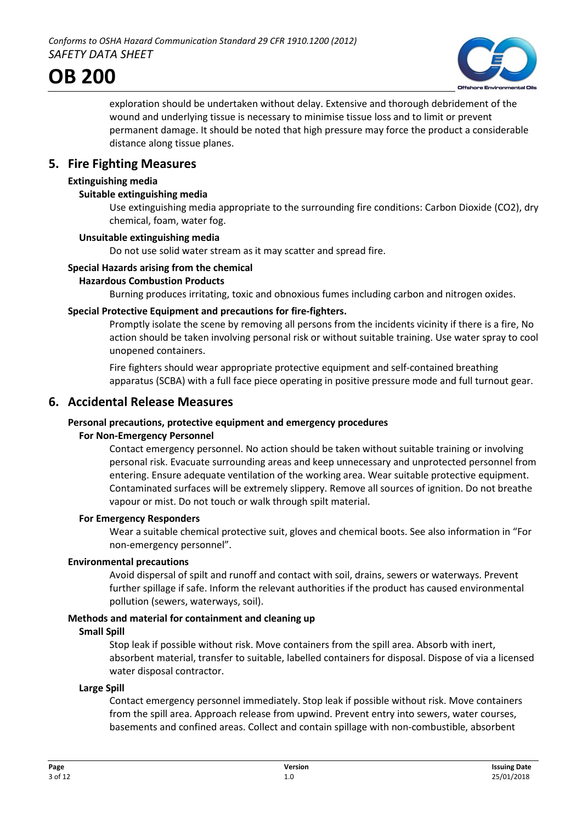

exploration should be undertaken without delay. Extensive and thorough debridement of the wound and underlying tissue is necessary to minimise tissue loss and to limit or prevent permanent damage. It should be noted that high pressure may force the product a considerable distance along tissue planes.

## **5. Fire Fighting Measures**

#### **Extinguishing media**

#### **Suitable extinguishing media**

Use extinguishing media appropriate to the surrounding fire conditions: Carbon Dioxide (CO2), dry chemical, foam, water fog.

#### **Unsuitable extinguishing media**

Do not use solid water stream as it may scatter and spread fire.

#### **Special Hazards arising from the chemical**

#### **Hazardous Combustion Products**

Burning produces irritating, toxic and obnoxious fumes including carbon and nitrogen oxides.

#### **Special Protective Equipment and precautions for fire-fighters.**

Promptly isolate the scene by removing all persons from the incidents vicinity if there is a fire, No action should be taken involving personal risk or without suitable training. Use water spray to cool unopened containers.

Fire fighters should wear appropriate protective equipment and self-contained breathing apparatus (SCBA) with a full face piece operating in positive pressure mode and full turnout gear.

### **6. Accidental Release Measures**

### **Personal precautions, protective equipment and emergency procedures**

#### **For Non-Emergency Personnel**

Contact emergency personnel. No action should be taken without suitable training or involving personal risk. Evacuate surrounding areas and keep unnecessary and unprotected personnel from entering. Ensure adequate ventilation of the working area. Wear suitable protective equipment. Contaminated surfaces will be extremely slippery. Remove all sources of ignition. Do not breathe vapour or mist. Do not touch or walk through spilt material.

#### **For Emergency Responders**

Wear a suitable chemical protective suit, gloves and chemical boots. See also information in "For non-emergency personnel".

#### **Environmental precautions**

Avoid dispersal of spilt and runoff and contact with soil, drains, sewers or waterways. Prevent further spillage if safe. Inform the relevant authorities if the product has caused environmental pollution (sewers, waterways, soil).

#### **Methods and material for containment and cleaning up**

#### **Small Spill**

Stop leak if possible without risk. Move containers from the spill area. Absorb with inert, absorbent material, transfer to suitable, labelled containers for disposal. Dispose of via a licensed water disposal contractor.

#### **Large Spill**

Contact emergency personnel immediately. Stop leak if possible without risk. Move containers from the spill area. Approach release from upwind. Prevent entry into sewers, water courses, basements and confined areas. Collect and contain spillage with non-combustible, absorbent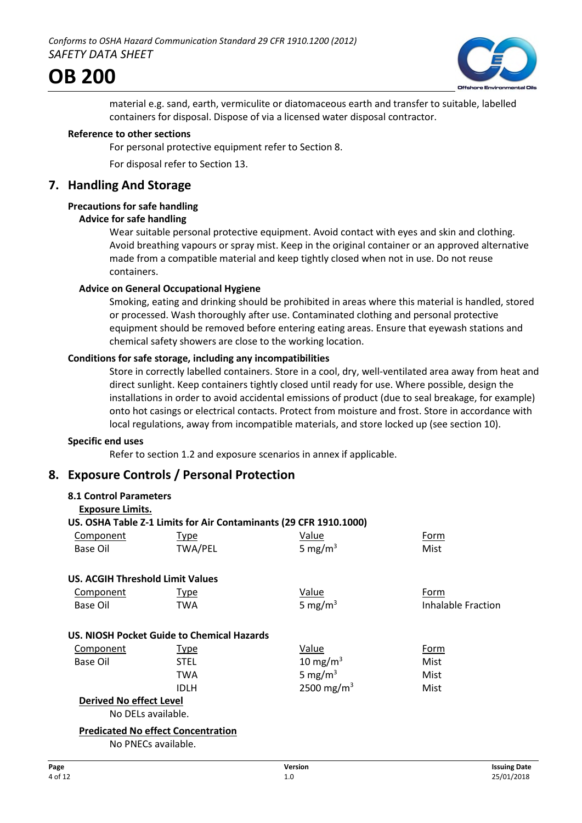

material e.g. sand, earth, vermiculite or diatomaceous earth and transfer to suitable, labelled containers for disposal. Dispose of via a licensed water disposal contractor.

#### **Reference to other sections**

For personal protective equipment refer to Section 8.

For disposal refer to Section 13.

## **7. Handling And Storage**

### **Precautions for safe handling**

#### **Advice for safe handling**

Wear suitable personal protective equipment. Avoid contact with eyes and skin and clothing. Avoid breathing vapours or spray mist. Keep in the original container or an approved alternative made from a compatible material and keep tightly closed when not in use. Do not reuse containers.

#### **Advice on General Occupational Hygiene**

Smoking, eating and drinking should be prohibited in areas where this material is handled, stored or processed. Wash thoroughly after use. Contaminated clothing and personal protective equipment should be removed before entering eating areas. Ensure that eyewash stations and chemical safety showers are close to the working location.

#### **Conditions for safe storage, including any incompatibilities**

Store in correctly labelled containers. Store in a cool, dry, well-ventilated area away from heat and direct sunlight. Keep containers tightly closed until ready for use. Where possible, design the installations in order to avoid accidental emissions of product (due to seal breakage, for example) onto hot casings or electrical contacts. Protect from moisture and frost. Store in accordance with local regulations, away from incompatible materials, and store locked up (see section 10).

#### **Specific end uses**

Refer to section 1.2 and exposure scenarios in annex if applicable.

# **8. Exposure Controls / Personal Protection**

| <b>8.1 Control Parameters</b>           |                                            |                                                                   |                    |
|-----------------------------------------|--------------------------------------------|-------------------------------------------------------------------|--------------------|
| <b>Exposure Limits.</b>                 |                                            |                                                                   |                    |
|                                         |                                            | US. OSHA Table Z-1 Limits for Air Contaminants (29 CFR 1910.1000) |                    |
| Component                               | Type                                       | Value                                                             | Form               |
| Base Oil                                | <b>TWA/PEL</b>                             | 5 mg/m $3$                                                        | Mist               |
| <b>US. ACGIH Threshold Limit Values</b> |                                            |                                                                   |                    |
| Component                               | <b>Type</b>                                | <b>Value</b>                                                      | Form               |
| Base Oil                                | TWA                                        | 5 mg/m <sup>3</sup>                                               | Inhalable Fraction |
|                                         | US. NIOSH Pocket Guide to Chemical Hazards |                                                                   |                    |
| <b>Component</b>                        | <b>Type</b>                                | <b>Value</b>                                                      | Form               |
| Base Oil                                | <b>STEL</b>                                | 10 mg/m <sup>3</sup>                                              | Mist               |
|                                         | TWA                                        | 5 mg/m <sup>3</sup>                                               | Mist               |
|                                         | IDLH                                       | 2500 mg/m <sup>3</sup>                                            | Mist               |
| <b>Derived No effect Level</b>          |                                            |                                                                   |                    |
| No DELs available.                      |                                            |                                                                   |                    |
|                                         | <b>Predicated No effect Concentration</b>  |                                                                   |                    |
|                                         | $N = N \Gamma C$ $L L$                     |                                                                   |                    |

No PNECs available.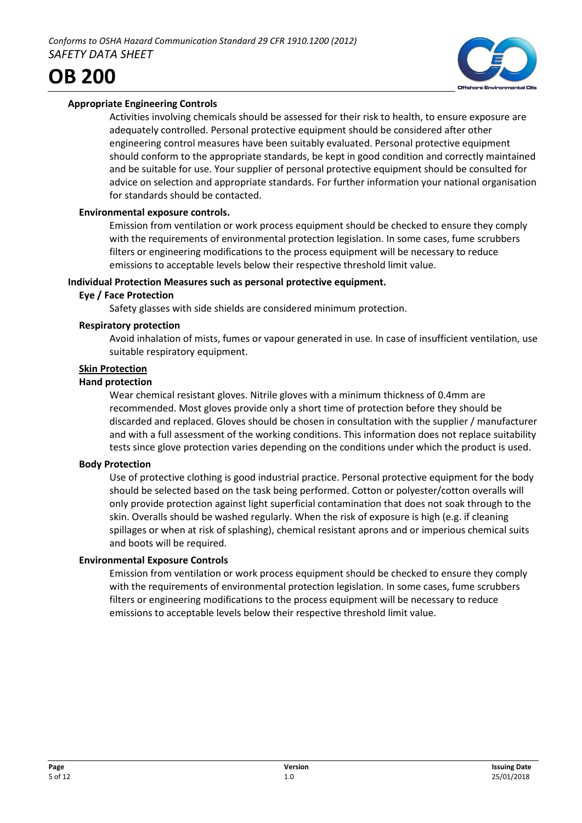

Activities involving chemicals should be assessed for their risk to health, to ensure exposure are adequately controlled. Personal protective equipment should be considered after other engineering control measures have been suitably evaluated. Personal protective equipment should conform to the appropriate standards, be kept in good condition and correctly maintained and be suitable for use. Your supplier of personal protective equipment should be consulted for advice on selection and appropriate standards. For further information your national organisation for standards should be contacted.

### **Environmental exposure controls.**

Emission from ventilation or work process equipment should be checked to ensure they comply with the requirements of environmental protection legislation. In some cases, fume scrubbers filters or engineering modifications to the process equipment will be necessary to reduce emissions to acceptable levels below their respective threshold limit value.

#### **Individual Protection Measures such as personal protective equipment.**

#### **Eye / Face Protection**

Safety glasses with side shields are considered minimum protection.

#### **Respiratory protection**

Avoid inhalation of mists, fumes or vapour generated in use. In case of insufficient ventilation, use suitable respiratory equipment.

#### **Skin Protection**

#### **Hand protection**

Wear chemical resistant gloves. Nitrile gloves with a minimum thickness of 0.4mm are recommended. Most gloves provide only a short time of protection before they should be discarded and replaced. Gloves should be chosen in consultation with the supplier / manufacturer and with a full assessment of the working conditions. This information does not replace suitability tests since glove protection varies depending on the conditions under which the product is used.

#### **Body Protection**

Use of protective clothing is good industrial practice. Personal protective equipment for the body should be selected based on the task being performed. Cotton or polyester/cotton overalls will only provide protection against light superficial contamination that does not soak through to the skin. Overalls should be washed regularly. When the risk of exposure is high (e.g. if cleaning spillages or when at risk of splashing), chemical resistant aprons and or imperious chemical suits and boots will be required.

### **Environmental Exposure Controls**

Emission from ventilation or work process equipment should be checked to ensure they comply with the requirements of environmental protection legislation. In some cases, fume scrubbers filters or engineering modifications to the process equipment will be necessary to reduce emissions to acceptable levels below their respective threshold limit value.

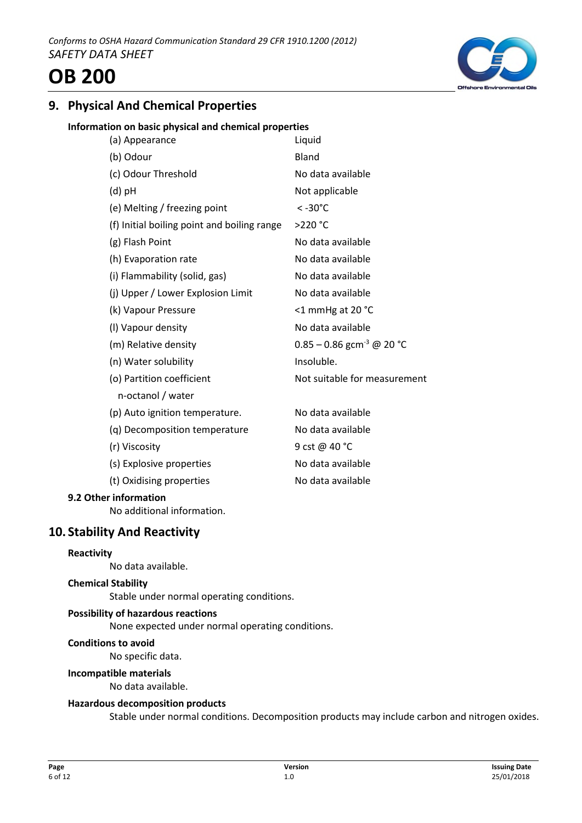# **9. Physical And Chemical Properties**

#### **Information on basic physical and chemical properties**

| (a) Appearance                              | Liquid                                |
|---------------------------------------------|---------------------------------------|
| (b) Odour                                   | Bland                                 |
| (c) Odour Threshold                         | No data available                     |
| $(d)$ pH                                    | Not applicable                        |
| (e) Melting / freezing point                | $< -30^{\circ}$ C                     |
| (f) Initial boiling point and boiling range | >220 °C                               |
| (g) Flash Point                             | No data available                     |
| (h) Evaporation rate                        | No data available                     |
| (i) Flammability (solid, gas)               | No data available                     |
| (j) Upper / Lower Explosion Limit           | No data available                     |
| (k) Vapour Pressure                         | <1 mmHg at 20 °C                      |
| (I) Vapour density                          | No data available                     |
| (m) Relative density                        | 0.85 – 0.86 gcm <sup>-3</sup> @ 20 °C |
| (n) Water solubility                        | Insoluble.                            |
| (o) Partition coefficient                   | Not suitable for measurement          |
| n-octanol / water                           |                                       |
| (p) Auto ignition temperature.              | No data available                     |
| (q) Decomposition temperature               | No data available                     |
| (r) Viscosity                               | 9 cst @ 40 °C                         |
| (s) Explosive properties                    | No data available                     |
| (t) Oxidising properties                    | No data available                     |
|                                             |                                       |

### **9.2 Other information**

No additional information.

### **10. Stability And Reactivity**

#### **Reactivity**

No data available.

#### **Chemical Stability**

Stable under normal operating conditions.

#### **Possibility of hazardous reactions**

None expected under normal operating conditions.

#### **Conditions to avoid**

No specific data.

#### **Incompatible materials**

No data available.

#### **Hazardous decomposition products**

Stable under normal conditions. Decomposition products may include carbon and nitrogen oxides.

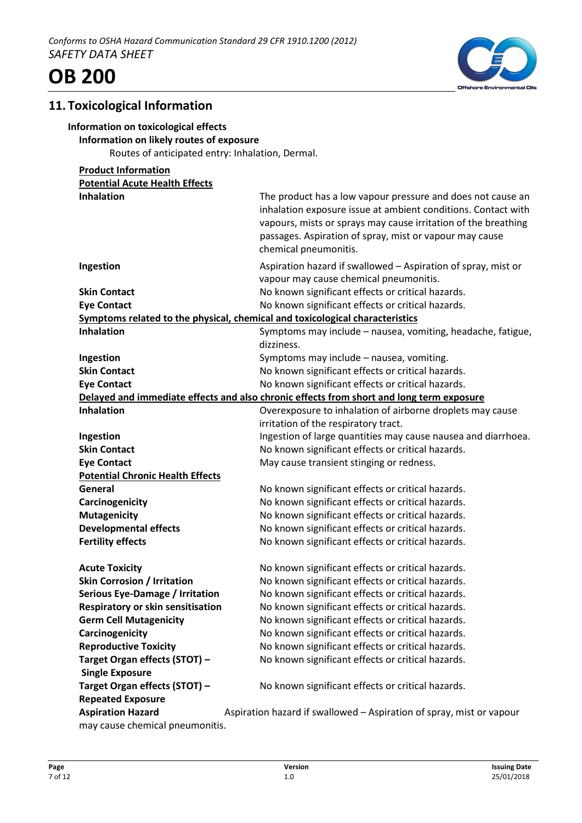



# **11. Toxicological Information**

**OB 200**

### **Information on toxicological effects**

#### **Information on likely routes of exposure**

Routes of anticipated entry: Inhalation, Dermal.

| <b>Product Information</b>                                                   |                                                                                                                                                                                                                                                                                    |
|------------------------------------------------------------------------------|------------------------------------------------------------------------------------------------------------------------------------------------------------------------------------------------------------------------------------------------------------------------------------|
| <b>Potential Acute Health Effects</b>                                        |                                                                                                                                                                                                                                                                                    |
| <b>Inhalation</b>                                                            | The product has a low vapour pressure and does not cause an<br>inhalation exposure issue at ambient conditions. Contact with<br>vapours, mists or sprays may cause irritation of the breathing<br>passages. Aspiration of spray, mist or vapour may cause<br>chemical pneumonitis. |
| Ingestion                                                                    | Aspiration hazard if swallowed - Aspiration of spray, mist or<br>vapour may cause chemical pneumonitis.                                                                                                                                                                            |
| <b>Skin Contact</b>                                                          | No known significant effects or critical hazards.                                                                                                                                                                                                                                  |
| <b>Eye Contact</b>                                                           | No known significant effects or critical hazards.                                                                                                                                                                                                                                  |
| Symptoms related to the physical, chemical and toxicological characteristics |                                                                                                                                                                                                                                                                                    |
| <b>Inhalation</b>                                                            | Symptoms may include - nausea, vomiting, headache, fatigue,<br>dizziness.                                                                                                                                                                                                          |
| Ingestion                                                                    | Symptoms may include - nausea, vomiting.                                                                                                                                                                                                                                           |
| <b>Skin Contact</b>                                                          | No known significant effects or critical hazards.                                                                                                                                                                                                                                  |
| <b>Eye Contact</b>                                                           | No known significant effects or critical hazards.                                                                                                                                                                                                                                  |
|                                                                              | Delayed and immediate effects and also chronic effects from short and long term exposure                                                                                                                                                                                           |
| <b>Inhalation</b>                                                            | Overexposure to inhalation of airborne droplets may cause                                                                                                                                                                                                                          |
|                                                                              | irritation of the respiratory tract.                                                                                                                                                                                                                                               |
| Ingestion                                                                    | Ingestion of large quantities may cause nausea and diarrhoea.                                                                                                                                                                                                                      |
| <b>Skin Contact</b>                                                          | No known significant effects or critical hazards.                                                                                                                                                                                                                                  |
| <b>Eye Contact</b>                                                           | May cause transient stinging or redness.                                                                                                                                                                                                                                           |
| <b>Potential Chronic Health Effects</b>                                      |                                                                                                                                                                                                                                                                                    |
| General                                                                      | No known significant effects or critical hazards.                                                                                                                                                                                                                                  |
| Carcinogenicity                                                              | No known significant effects or critical hazards.                                                                                                                                                                                                                                  |
| <b>Mutagenicity</b>                                                          | No known significant effects or critical hazards.                                                                                                                                                                                                                                  |
| <b>Developmental effects</b>                                                 | No known significant effects or critical hazards.                                                                                                                                                                                                                                  |
| <b>Fertility effects</b>                                                     | No known significant effects or critical hazards.                                                                                                                                                                                                                                  |
| <b>Acute Toxicity</b>                                                        | No known significant effects or critical hazards.                                                                                                                                                                                                                                  |
| <b>Skin Corrosion / Irritation</b>                                           | No known significant effects or critical hazards.                                                                                                                                                                                                                                  |
| <b>Serious Eye-Damage / Irritation</b>                                       | No known significant effects or critical hazards.                                                                                                                                                                                                                                  |
| Respiratory or skin sensitisation                                            | No known significant effects or critical hazards.                                                                                                                                                                                                                                  |
| <b>Germ Cell Mutagenicity</b>                                                | No known significant effects or critical hazards.                                                                                                                                                                                                                                  |
| Carcinogenicity                                                              | No known significant effects or critical hazards.                                                                                                                                                                                                                                  |
| <b>Reproductive Toxicity</b>                                                 | No known significant effects or critical hazards.                                                                                                                                                                                                                                  |
| Target Organ effects (STOT) -                                                | No known significant effects or critical hazards.                                                                                                                                                                                                                                  |
| <b>Single Exposure</b>                                                       |                                                                                                                                                                                                                                                                                    |
| Target Organ effects (STOT) -                                                | No known significant effects or critical hazards.                                                                                                                                                                                                                                  |
| <b>Repeated Exposure</b>                                                     |                                                                                                                                                                                                                                                                                    |
| <b>Aspiration Hazard</b>                                                     | Aspiration hazard if swallowed - Aspiration of spray, mist or vapour                                                                                                                                                                                                               |
| may cause chemical pneumonitis.                                              |                                                                                                                                                                                                                                                                                    |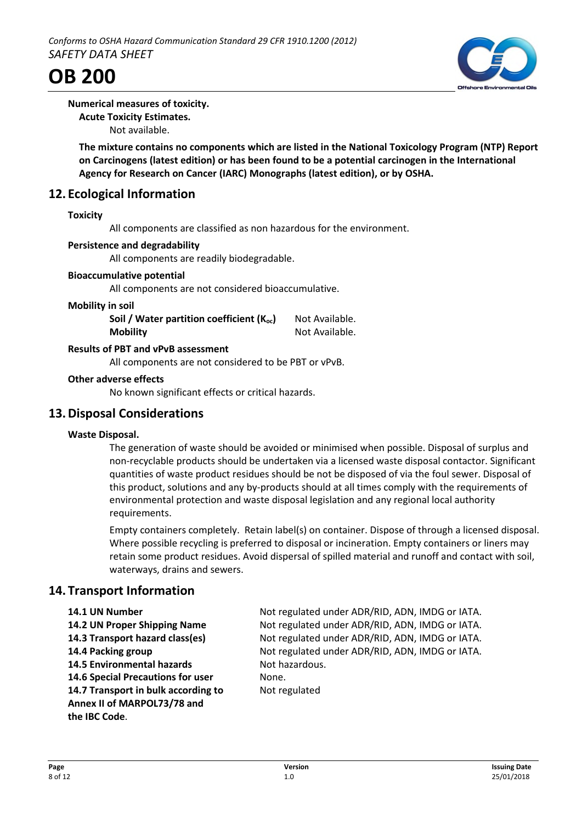



#### **Numerical measures of toxicity.**

**Acute Toxicity Estimates.**

Not available.

**The mixture contains no components which are listed in the National Toxicology Program (NTP) Report on Carcinogens (latest edition) or has been found to be a potential carcinogen in the International Agency for Research on Cancer (IARC) Monographs (latest edition), or by OSHA.**

# **12. Ecological Information**

#### **Toxicity**

All components are classified as non hazardous for the environment.

#### **Persistence and degradability**

All components are readily biodegradable.

#### **Bioaccumulative potential**

All components are not considered bioaccumulative.

#### **Mobility in soil**

| Soil / Water partition coefficient ( $K_{oc}$ ) | Not Available. |
|-------------------------------------------------|----------------|
| <b>Mobility</b>                                 | Not Available. |

#### **Results of PBT and vPvB assessment**

All components are not considered to be PBT or vPvB.

#### **Other adverse effects**

No known significant effects or critical hazards.

### **13.Disposal Considerations**

#### **Waste Disposal.**

The generation of waste should be avoided or minimised when possible. Disposal of surplus and non-recyclable products should be undertaken via a licensed waste disposal contactor. Significant quantities of waste product residues should be not be disposed of via the foul sewer. Disposal of this product, solutions and any by-products should at all times comply with the requirements of environmental protection and waste disposal legislation and any regional local authority requirements.

Empty containers completely. Retain label(s) on container. Dispose of through a licensed disposal. Where possible recycling is preferred to disposal or incineration. Empty containers or liners may retain some product residues. Avoid dispersal of spilled material and runoff and contact with soil, waterways, drains and sewers.

### **14. Transport Information**

**14.5 Environmental hazards** Not hazardous. **14.6 Special Precautions for user** None. **14.7 Transport in bulk according to** Not regulated **Annex II of MARPOL73/78 and the IBC Code**.

**14.1 UN Number** Not regulated under ADR/RID, ADN, IMDG or IATA. **14.2 UN Proper Shipping Name** Not regulated under ADR/RID, ADN, IMDG or IATA. **14.3 Transport hazard class(es)** Not regulated under ADR/RID, ADN, IMDG or IATA. **14.4 Packing group** Not regulated under ADR/RID, ADN, IMDG or IATA.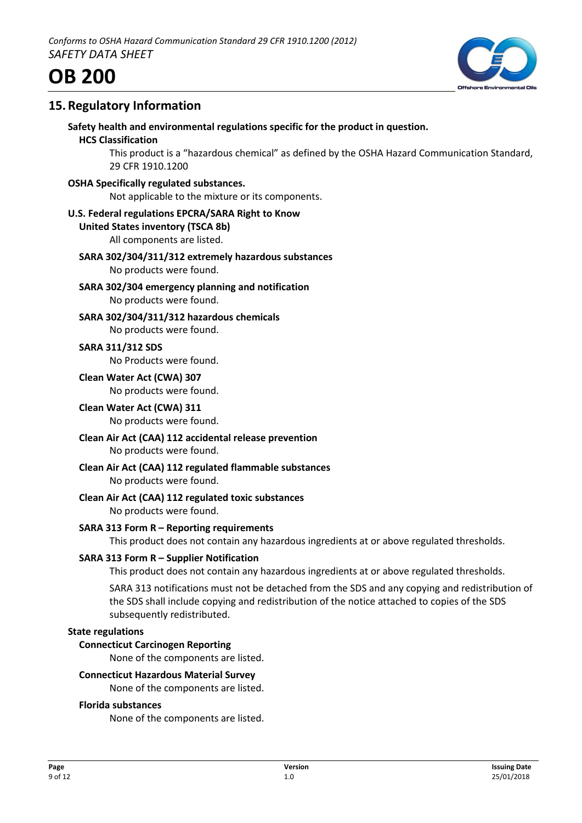

# **15.Regulatory Information**

**Safety health and environmental regulations specific for the product in question.**

#### **HCS Classification**

This product is a "hazardous chemical" as defined by the OSHA Hazard Communication Standard, 29 CFR 1910.1200

**OSHA Specifically regulated substances.**

Not applicable to the mixture or its components.

#### **U.S. Federal regulations EPCRA/SARA Right to Know**

#### **United States inventory (TSCA 8b)**

All components are listed.

#### **SARA 302/304/311/312 extremely hazardous substances** No products were found.

**SARA 302/304 emergency planning and notification** No products were found.

**SARA 302/304/311/312 hazardous chemicals** No products were found.

**SARA 311/312 SDS** No Products were found.

**Clean Water Act (CWA) 307** No products were found.

**Clean Water Act (CWA) 311** No products were found.

- **Clean Air Act (CAA) 112 accidental release prevention** No products were found.
- **Clean Air Act (CAA) 112 regulated flammable substances** No products were found.
- **Clean Air Act (CAA) 112 regulated toxic substances** No products were found.

**SARA 313 Form R – Reporting requirements**

This product does not contain any hazardous ingredients at or above regulated thresholds.

#### **SARA 313 Form R – Supplier Notification**

This product does not contain any hazardous ingredients at or above regulated thresholds.

SARA 313 notifications must not be detached from the SDS and any copying and redistribution of the SDS shall include copying and redistribution of the notice attached to copies of the SDS subsequently redistributed.

#### **State regulations**

#### **Connecticut Carcinogen Reporting**

None of the components are listed.

#### **Connecticut Hazardous Material Survey**

None of the components are listed.

#### **Florida substances**

None of the components are listed.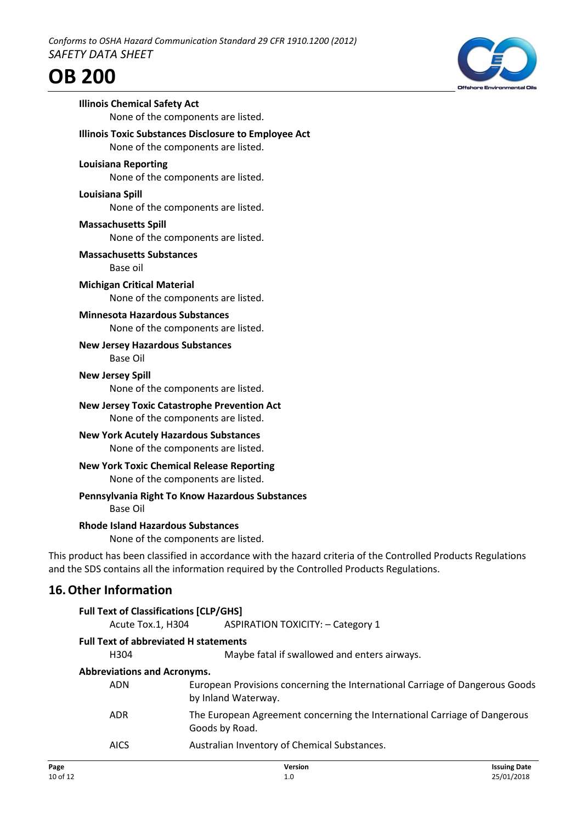

H304 Maybe fatal if swallowed and enters airways.

### **Abbreviations and Acronyms.**

| ADN | European Provisions concerning the International Carriage of Dangerous Goods |
|-----|------------------------------------------------------------------------------|
|     | by Inland Waterway.                                                          |

- ADR The European Agreement concerning the International Carriage of Dangerous Goods by Road.
- AICS Australian Inventory of Chemical Substances.

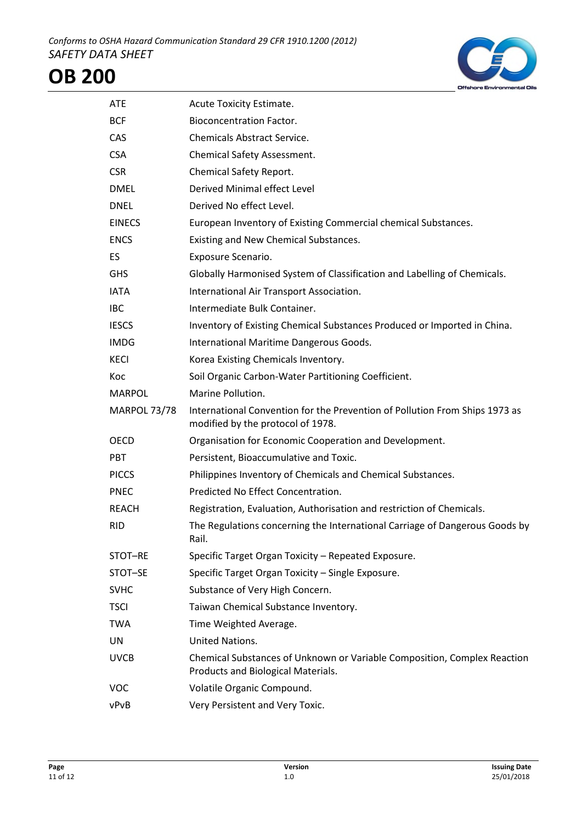

| <b>ATE</b>          | Acute Toxicity Estimate.                                                                                         |
|---------------------|------------------------------------------------------------------------------------------------------------------|
| <b>BCF</b>          | <b>Bioconcentration Factor.</b>                                                                                  |
| CAS                 | <b>Chemicals Abstract Service.</b>                                                                               |
| <b>CSA</b>          | Chemical Safety Assessment.                                                                                      |
| <b>CSR</b>          | Chemical Safety Report.                                                                                          |
| <b>DMEL</b>         | Derived Minimal effect Level                                                                                     |
| <b>DNEL</b>         | Derived No effect Level.                                                                                         |
| <b>EINECS</b>       | European Inventory of Existing Commercial chemical Substances.                                                   |
| <b>ENCS</b>         | Existing and New Chemical Substances.                                                                            |
| ES.                 | Exposure Scenario.                                                                                               |
| <b>GHS</b>          | Globally Harmonised System of Classification and Labelling of Chemicals.                                         |
| <b>IATA</b>         | International Air Transport Association.                                                                         |
| <b>IBC</b>          | Intermediate Bulk Container.                                                                                     |
| <b>IESCS</b>        | Inventory of Existing Chemical Substances Produced or Imported in China.                                         |
| <b>IMDG</b>         | International Maritime Dangerous Goods.                                                                          |
| <b>KECI</b>         | Korea Existing Chemicals Inventory.                                                                              |
| Koc                 | Soil Organic Carbon-Water Partitioning Coefficient.                                                              |
| <b>MARPOL</b>       | Marine Pollution.                                                                                                |
| <b>MARPOL 73/78</b> | International Convention for the Prevention of Pollution From Ships 1973 as<br>modified by the protocol of 1978. |
| OECD                | Organisation for Economic Cooperation and Development.                                                           |
| <b>PBT</b>          | Persistent, Bioaccumulative and Toxic.                                                                           |
| <b>PICCS</b>        | Philippines Inventory of Chemicals and Chemical Substances.                                                      |
| <b>PNEC</b>         | Predicted No Effect Concentration.                                                                               |
| REACH               | Registration, Evaluation, Authorisation and restriction of Chemicals.                                            |
| <b>RID</b>          | The Regulations concerning the International Carriage of Dangerous Goods by<br>Rail.                             |
| STOT-RE             | Specific Target Organ Toxicity - Repeated Exposure.                                                              |
| STOT-SE             | Specific Target Organ Toxicity - Single Exposure.                                                                |
| <b>SVHC</b>         | Substance of Very High Concern.                                                                                  |
| <b>TSCI</b>         | Taiwan Chemical Substance Inventory.                                                                             |
| <b>TWA</b>          | Time Weighted Average.                                                                                           |
| UN                  | United Nations.                                                                                                  |
| <b>UVCB</b>         | Chemical Substances of Unknown or Variable Composition, Complex Reaction<br>Products and Biological Materials.   |
| <b>VOC</b>          | Volatile Organic Compound.                                                                                       |
| vPvB                | Very Persistent and Very Toxic.                                                                                  |